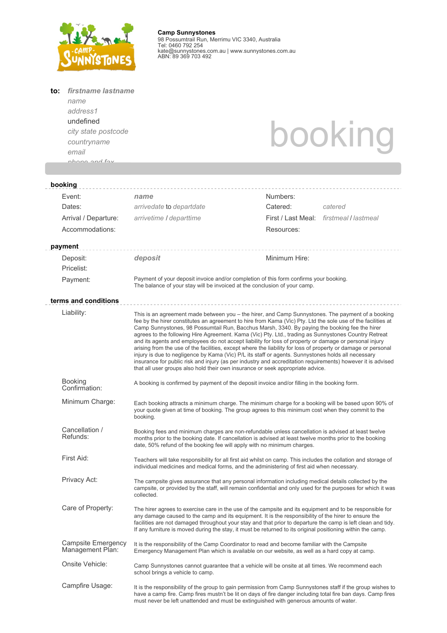

**Camp Sunnystones** 98 Possumtrail Run, Merrimu VIC 3340, Australia Tel: 0460 792 254 kate@sunnystones.com.au | www.sunnystones.com.au ABN: 89 369 703 492

| to: | firstname lastname<br>name                    |                                                                                                                                                                                                                                                                                                                                                                                                                                                                                                                                                                                                                                                                                                                                                                                                                                                                                                                                                              |                                                                                                                                                                                                                             |  |  |  |  |
|-----|-----------------------------------------------|--------------------------------------------------------------------------------------------------------------------------------------------------------------------------------------------------------------------------------------------------------------------------------------------------------------------------------------------------------------------------------------------------------------------------------------------------------------------------------------------------------------------------------------------------------------------------------------------------------------------------------------------------------------------------------------------------------------------------------------------------------------------------------------------------------------------------------------------------------------------------------------------------------------------------------------------------------------|-----------------------------------------------------------------------------------------------------------------------------------------------------------------------------------------------------------------------------|--|--|--|--|
|     | address1<br>undefined                         |                                                                                                                                                                                                                                                                                                                                                                                                                                                                                                                                                                                                                                                                                                                                                                                                                                                                                                                                                              |                                                                                                                                                                                                                             |  |  |  |  |
|     | city state postcode                           |                                                                                                                                                                                                                                                                                                                                                                                                                                                                                                                                                                                                                                                                                                                                                                                                                                                                                                                                                              | booking                                                                                                                                                                                                                     |  |  |  |  |
|     | countryname                                   |                                                                                                                                                                                                                                                                                                                                                                                                                                                                                                                                                                                                                                                                                                                                                                                                                                                                                                                                                              |                                                                                                                                                                                                                             |  |  |  |  |
|     | email                                         |                                                                                                                                                                                                                                                                                                                                                                                                                                                                                                                                                                                                                                                                                                                                                                                                                                                                                                                                                              |                                                                                                                                                                                                                             |  |  |  |  |
|     | nhono and fav                                 |                                                                                                                                                                                                                                                                                                                                                                                                                                                                                                                                                                                                                                                                                                                                                                                                                                                                                                                                                              |                                                                                                                                                                                                                             |  |  |  |  |
|     |                                               |                                                                                                                                                                                                                                                                                                                                                                                                                                                                                                                                                                                                                                                                                                                                                                                                                                                                                                                                                              |                                                                                                                                                                                                                             |  |  |  |  |
|     | booking                                       |                                                                                                                                                                                                                                                                                                                                                                                                                                                                                                                                                                                                                                                                                                                                                                                                                                                                                                                                                              |                                                                                                                                                                                                                             |  |  |  |  |
|     | Event:                                        | name                                                                                                                                                                                                                                                                                                                                                                                                                                                                                                                                                                                                                                                                                                                                                                                                                                                                                                                                                         | Numbers:                                                                                                                                                                                                                    |  |  |  |  |
|     | Dates:                                        | arrivedate to departdate                                                                                                                                                                                                                                                                                                                                                                                                                                                                                                                                                                                                                                                                                                                                                                                                                                                                                                                                     | Catered:<br>catered                                                                                                                                                                                                         |  |  |  |  |
|     | Arrival / Departure:                          | arrivetime / departtime                                                                                                                                                                                                                                                                                                                                                                                                                                                                                                                                                                                                                                                                                                                                                                                                                                                                                                                                      | First / Last Meal: firstmeal / lastmeal                                                                                                                                                                                     |  |  |  |  |
|     | Accommodations:                               |                                                                                                                                                                                                                                                                                                                                                                                                                                                                                                                                                                                                                                                                                                                                                                                                                                                                                                                                                              | Resources:                                                                                                                                                                                                                  |  |  |  |  |
|     | payment                                       |                                                                                                                                                                                                                                                                                                                                                                                                                                                                                                                                                                                                                                                                                                                                                                                                                                                                                                                                                              |                                                                                                                                                                                                                             |  |  |  |  |
|     | Deposit:                                      | deposit                                                                                                                                                                                                                                                                                                                                                                                                                                                                                                                                                                                                                                                                                                                                                                                                                                                                                                                                                      | Minimum Hire:                                                                                                                                                                                                               |  |  |  |  |
|     | Pricelist:                                    |                                                                                                                                                                                                                                                                                                                                                                                                                                                                                                                                                                                                                                                                                                                                                                                                                                                                                                                                                              |                                                                                                                                                                                                                             |  |  |  |  |
|     | Payment:                                      | Payment of your deposit invoice and/or completion of this form confirms your booking.<br>The balance of your stay will be invoiced at the conclusion of your camp.                                                                                                                                                                                                                                                                                                                                                                                                                                                                                                                                                                                                                                                                                                                                                                                           |                                                                                                                                                                                                                             |  |  |  |  |
|     | terms and conditions                          |                                                                                                                                                                                                                                                                                                                                                                                                                                                                                                                                                                                                                                                                                                                                                                                                                                                                                                                                                              |                                                                                                                                                                                                                             |  |  |  |  |
|     | Liability:                                    | This is an agreement made between you – the hirer, and Camp Sunnystones. The payment of a booking<br>fee by the hirer constitutes an agreement to hire from Kama (Vic) Pty. Ltd the sole use of the facilities at<br>Camp Sunnystones, 98 Possumtail Run, Bacchus Marsh, 3340. By paying the booking fee the hirer<br>agrees to the following Hire Agreement. Kama (Vic) Pty. Ltd., trading as Sunnystones Country Retreat<br>and its agents and employees do not accept liability for loss of property or damage or personal injury<br>arising from the use of the facilities, except where the liability for loss of property or damage or personal<br>injury is due to negligence by Kama (Vic) P/L its staff or agents. Sunnystones holds all necessary<br>insurance for public risk and injury (as per industry and accreditation requirements) however it is advised<br>that all user groups also hold their own insurance or seek appropriate advice. |                                                                                                                                                                                                                             |  |  |  |  |
|     | <b>Booking</b><br>Confirmation:               | A booking is confirmed by payment of the deposit invoice and/or filling in the booking form.                                                                                                                                                                                                                                                                                                                                                                                                                                                                                                                                                                                                                                                                                                                                                                                                                                                                 |                                                                                                                                                                                                                             |  |  |  |  |
|     | Minimum Charge:                               | Each booking attracts a minimum charge. The minimum charge for a booking will be based upon 90% of<br>your quote given at time of booking. The group agrees to this minimum cost when they commit to the<br>booking.                                                                                                                                                                                                                                                                                                                                                                                                                                                                                                                                                                                                                                                                                                                                         |                                                                                                                                                                                                                             |  |  |  |  |
|     | Cancellation /<br>Refunds:                    | Booking fees and minimum charges are non-refundable unless cancellation is advised at least twelve<br>months prior to the booking date. If cancellation is advised at least twelve months prior to the booking<br>date, 50% refund of the booking fee will apply with no minimum charges.                                                                                                                                                                                                                                                                                                                                                                                                                                                                                                                                                                                                                                                                    |                                                                                                                                                                                                                             |  |  |  |  |
|     | First Aid:                                    | Teachers will take responsibility for all first aid whilst on camp. This includes the collation and storage of<br>individual medicines and medical forms, and the administering of first aid when necessary.                                                                                                                                                                                                                                                                                                                                                                                                                                                                                                                                                                                                                                                                                                                                                 |                                                                                                                                                                                                                             |  |  |  |  |
|     | Privacy Act:                                  | The campsite gives assurance that any personal information including medical details collected by the<br>campsite, or provided by the staff, will remain confidential and only used for the purposes for which it was<br>collected.                                                                                                                                                                                                                                                                                                                                                                                                                                                                                                                                                                                                                                                                                                                          |                                                                                                                                                                                                                             |  |  |  |  |
|     | Care of Property:                             | The hirer agrees to exercise care in the use of the campsite and its equipment and to be responsible for<br>any damage caused to the camp and its equipment. It is the responsibility of the hirer to ensure the<br>facilities are not damaged throughout your stay and that prior to departure the camp is left clean and tidy.<br>If any furniture is moved during the stay, it must be returned to its original positioning within the camp.<br>It is the responsibility of the Camp Coordinator to read and become familiar with the Campsite<br>Emergency Management Plan which is available on our website, as well as a hard copy at camp.                                                                                                                                                                                                                                                                                                            |                                                                                                                                                                                                                             |  |  |  |  |
|     | <b>Campsite Emergency</b><br>Management Plan: |                                                                                                                                                                                                                                                                                                                                                                                                                                                                                                                                                                                                                                                                                                                                                                                                                                                                                                                                                              |                                                                                                                                                                                                                             |  |  |  |  |
|     | Onsite Vehicle:                               | Camp Sunnystones cannot guarantee that a vehicle will be onsite at all times. We recommend each<br>school brings a vehicle to camp.                                                                                                                                                                                                                                                                                                                                                                                                                                                                                                                                                                                                                                                                                                                                                                                                                          |                                                                                                                                                                                                                             |  |  |  |  |
|     | Campfire Usage:                               | must never be left unattended and must be extinguished with generous amounts of water.                                                                                                                                                                                                                                                                                                                                                                                                                                                                                                                                                                                                                                                                                                                                                                                                                                                                       | It is the responsibility of the group to gain permission from Camp Sunnystones staff if the group wishes to<br>have a camp fire. Camp fires mustn't be lit on days of fire danger including total fire ban days. Camp fires |  |  |  |  |